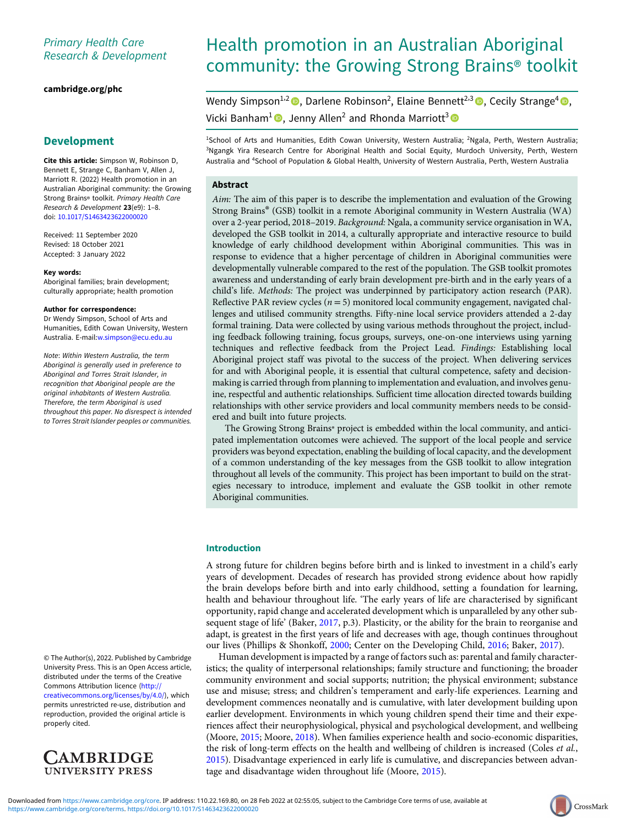# Primary Health Care Research & Development

## [cambridge.org/phc](https://www.cambridge.org/phc)

# Development

Cite this article: Simpson W, Robinson D, Bennett E, Strange C, Banham V, Allen J, Marriott R. (2022) Health promotion in an Australian Aboriginal community: the Growing Strong Brains® toolkit. Primary Health Care Research & Development 23(e9): 1–8. doi: [10.1017/S1463423622000020](https://doi.org/10.1017/S1463423622000020)

Received: 11 September 2020 Revised: 18 October 2021 Accepted: 3 January 2022

#### Key words:

Aboriginal families; brain development; culturally appropriate; health promotion

#### Author for correspondence:

Dr Wendy Simpson, School of Arts and Humanities, Edith Cowan University, Western Australia. E-mail:[w.simpson@ecu.edu.au](mailto:w.simpson@ecu.edu.au)

Note: Within Western Australia, the term Aboriginal is generally used in preference to Aboriginal and Torres Strait Islander, in recognition that Aboriginal people are the original inhabitants of Western Australia. Therefore, the term Aboriginal is used throughout this paper. No disrespect is intended to Torres Strait Islander peoples or communities.

© The Author(s), 2022. Published by Cambridge University Press. This is an Open Access article, distributed under the terms of the Creative Commons Attribution licence ([http://](http://creativecommons.org/licenses/by/4.0/) [creativecommons.org/licenses/by/4.0/\)](http://creativecommons.org/licenses/by/4.0/), which permits unrestricted re-use, distribution and reproduction, provided the original article is properly cited.



# Health promotion in an Australian Aboriginal community: the Growing Strong Brains® toolkit

Wendy Simpson<sup>1,2</sup> <sup>O</sup>, Darlene Robinson<sup>2</sup>, Elaine Bennett<sup>2,3</sup> O, Cecily Strange<sup>4</sup> O, Vicki Banham<sup>1</sup><sup>0</sup>, Jenny Allen<sup>2</sup> and Rhonda Marriott<sup>3</sup><sup>0</sup>

<sup>1</sup>School of Arts and Humanities, Edith Cowan University, Western Australia; <sup>2</sup>Ngala, Perth, Western Australia; 3 Ngangk Yira Research Centre for Aboriginal Health and Social Equity, Murdoch University, Perth, Western Australia and <sup>4</sup> School of Population & Global Health, University of Western Australia, Perth, Western Australia

# Abstract

Aim: The aim of this paper is to describe the implementation and evaluation of the Growing Strong Brains® (GSB) toolkit in a remote Aboriginal community in Western Australia (WA) over a 2-year period, 2018–2019. Background: Ngala, a community service organisation in WA, developed the GSB toolkit in 2014, a culturally appropriate and interactive resource to build knowledge of early childhood development within Aboriginal communities. This was in response to evidence that a higher percentage of children in Aboriginal communities were developmentally vulnerable compared to the rest of the population. The GSB toolkit promotes awareness and understanding of early brain development pre-birth and in the early years of a child's life. Methods: The project was underpinned by participatory action research (PAR). Reflective PAR review cycles ( $n = 5$ ) monitored local community engagement, navigated challenges and utilised community strengths. Fifty-nine local service providers attended a 2-day formal training. Data were collected by using various methods throughout the project, including feedback following training, focus groups, surveys, one-on-one interviews using yarning techniques and reflective feedback from the Project Lead. Findings: Establishing local Aboriginal project staff was pivotal to the success of the project. When delivering services for and with Aboriginal people, it is essential that cultural competence, safety and decisionmaking is carried through from planning to implementation and evaluation, and involves genuine, respectful and authentic relationships. Sufficient time allocation directed towards building relationships with other service providers and local community members needs to be considered and built into future projects.

The Growing Strong Brains® project is embedded within the local community, and anticipated implementation outcomes were achieved. The support of the local people and service providers was beyond expectation, enabling the building of local capacity, and the development of a common understanding of the key messages from the GSB toolkit to allow integration throughout all levels of the community. This project has been important to build on the strategies necessary to introduce, implement and evaluate the GSB toolkit in other remote Aboriginal communities.

# Introduction

A strong future for children begins before birth and is linked to investment in a child's early years of development. Decades of research has provided strong evidence about how rapidly the brain develops before birth and into early childhood, setting a foundation for learning, health and behaviour throughout life. 'The early years of life are characterised by significant opportunity, rapid change and accelerated development which is unparalleled by any other subsequent stage of life' (Baker, [2017,](#page-7-0) p.3). Plasticity, or the ability for the brain to reorganise and adapt, is greatest in the first years of life and decreases with age, though continues throughout our lives (Phillips & Shonkoff, [2000](#page-7-0); Center on the Developing Child, [2016;](#page-7-0) Baker, [2017\)](#page-7-0).

Human development is impacted by a range of factors such as: parental and family characteristics; the quality of interpersonal relationships; family structure and functioning; the broader community environment and social supports; nutrition; the physical environment; substance use and misuse; stress; and children's temperament and early-life experiences. Learning and development commences neonatally and is cumulative, with later development building upon earlier development. Environments in which young children spend their time and their experiences affect their neurophysiological, physical and psychological development, and wellbeing (Moore, [2015](#page-7-0); Moore, [2018\)](#page-7-0). When families experience health and socio-economic disparities, the risk of long-term effects on the health and wellbeing of children is increased (Coles *et al.*, [2015](#page-7-0)). Disadvantage experienced in early life is cumulative, and discrepancies between advan-tage and disadvantage widen throughout life (Moore, [2015](#page-7-0)).

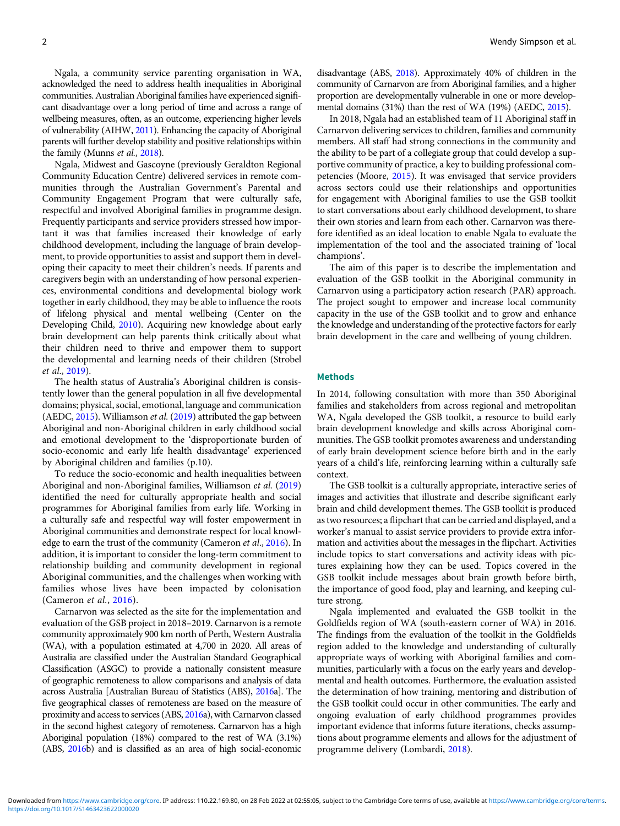Ngala, a community service parenting organisation in WA, acknowledged the need to address health inequalities in Aboriginal communities. Australian Aboriginal families have experienced significant disadvantage over a long period of time and across a range of wellbeing measures, often, as an outcome, experiencing higher levels of vulnerability (AIHW, [2011\)](#page-7-0). Enhancing the capacity of Aboriginal parents will further develop stability and positive relationships within the family (Munns et al., [2018](#page-7-0)).

Ngala, Midwest and Gascoyne (previously Geraldton Regional Community Education Centre) delivered services in remote communities through the Australian Government's Parental and Community Engagement Program that were culturally safe, respectful and involved Aboriginal families in programme design. Frequently participants and service providers stressed how important it was that families increased their knowledge of early childhood development, including the language of brain development, to provide opportunities to assist and support them in developing their capacity to meet their children's needs. If parents and caregivers begin with an understanding of how personal experiences, environmental conditions and developmental biology work together in early childhood, they may be able to influence the roots of lifelong physical and mental wellbeing (Center on the Developing Child, [2010](#page-7-0)). Acquiring new knowledge about early brain development can help parents think critically about what their children need to thrive and empower them to support the developmental and learning needs of their children (Strobel et al., [2019](#page-7-0)).

The health status of Australia's Aboriginal children is consistently lower than the general population in all five developmental domains; physical, social, emotional, language and communication (AEDC, [2015\)](#page-7-0). Williamson et al. ([2019](#page-7-0)) attributed the gap between Aboriginal and non-Aboriginal children in early childhood social and emotional development to the 'disproportionate burden of socio-economic and early life health disadvantage' experienced by Aboriginal children and families (p.10).

To reduce the socio-economic and health inequalities between Aboriginal and non-Aboriginal families, Williamson et al. ([2019](#page-7-0)) identified the need for culturally appropriate health and social programmes for Aboriginal families from early life. Working in a culturally safe and respectful way will foster empowerment in Aboriginal communities and demonstrate respect for local knowledge to earn the trust of the community (Cameron et al., [2016\)](#page-7-0). In addition, it is important to consider the long-term commitment to relationship building and community development in regional Aboriginal communities, and the challenges when working with families whose lives have been impacted by colonisation (Cameron et al., [2016](#page-7-0)).

Carnarvon was selected as the site for the implementation and evaluation of the GSB project in 2018–2019. Carnarvon is a remote community approximately 900 km north of Perth, Western Australia (WA), with a population estimated at 4,700 in 2020. All areas of Australia are classified under the Australian Standard Geographical Classification (ASGC) to provide a nationally consistent measure of geographic remoteness to allow comparisons and analysis of data across Australia [Australian Bureau of Statistics (ABS), [2016](#page-7-0)a]. The five geographical classes of remoteness are based on the measure of proximity and access to services (ABS, [2016](#page-7-0)a), with Carnarvon classed in the second highest category of remoteness. Carnarvon has a high Aboriginal population (18%) compared to the rest of WA (3.1%) (ABS, [2016b](#page-7-0)) and is classified as an area of high social-economic

disadvantage (ABS, [2018\)](#page-7-0). Approximately 40% of children in the community of Carnarvon are from Aboriginal families, and a higher proportion are developmentally vulnerable in one or more developmental domains (31%) than the rest of WA (19%) (AEDC, [2015](#page-7-0)).

In 2018, Ngala had an established team of 11 Aboriginal staff in Carnarvon delivering services to children, families and community members. All staff had strong connections in the community and the ability to be part of a collegiate group that could develop a supportive community of practice, a key to building professional competencies (Moore, [2015\)](#page-7-0). It was envisaged that service providers across sectors could use their relationships and opportunities for engagement with Aboriginal families to use the GSB toolkit to start conversations about early childhood development, to share their own stories and learn from each other. Carnarvon was therefore identified as an ideal location to enable Ngala to evaluate the implementation of the tool and the associated training of 'local champions'.

The aim of this paper is to describe the implementation and evaluation of the GSB toolkit in the Aboriginal community in Carnarvon using a participatory action research (PAR) approach. The project sought to empower and increase local community capacity in the use of the GSB toolkit and to grow and enhance the knowledge and understanding of the protective factors for early brain development in the care and wellbeing of young children.

#### Methods

In 2014, following consultation with more than 350 Aboriginal families and stakeholders from across regional and metropolitan WA, Ngala developed the GSB toolkit, a resource to build early brain development knowledge and skills across Aboriginal communities. The GSB toolkit promotes awareness and understanding of early brain development science before birth and in the early years of a child's life, reinforcing learning within a culturally safe context.

The GSB toolkit is a culturally appropriate, interactive series of images and activities that illustrate and describe significant early brain and child development themes. The GSB toolkit is produced as two resources; a flipchart that can be carried and displayed, and a worker's manual to assist service providers to provide extra information and activities about the messages in the flipchart. Activities include topics to start conversations and activity ideas with pictures explaining how they can be used. Topics covered in the GSB toolkit include messages about brain growth before birth, the importance of good food, play and learning, and keeping culture strong.

Ngala implemented and evaluated the GSB toolkit in the Goldfields region of WA (south-eastern corner of WA) in 2016. The findings from the evaluation of the toolkit in the Goldfields region added to the knowledge and understanding of culturally appropriate ways of working with Aboriginal families and communities, particularly with a focus on the early years and developmental and health outcomes. Furthermore, the evaluation assisted the determination of how training, mentoring and distribution of the GSB toolkit could occur in other communities. The early and ongoing evaluation of early childhood programmes provides important evidence that informs future iterations, checks assumptions about programme elements and allows for the adjustment of programme delivery (Lombardi, [2018\)](#page-7-0).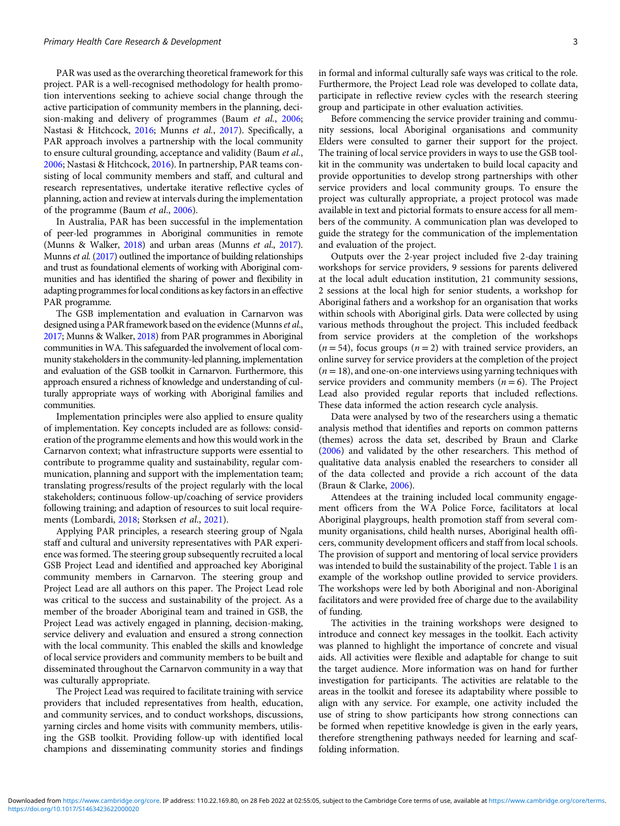PAR was used as the overarching theoretical framework for this project. PAR is a well-recognised methodology for health promotion interventions seeking to achieve social change through the active participation of community members in the planning, decision-making and delivery of programmes (Baum et al., [2006;](#page-7-0) Nastasi & Hitchcock, [2016;](#page-7-0) Munns et al., [2017](#page-7-0)). Specifically, a PAR approach involves a partnership with the local community to ensure cultural grounding, acceptance and validity (Baum et al., [2006](#page-7-0); Nastasi & Hitchcock, [2016](#page-7-0)). In partnership, PAR teams consisting of local community members and staff, and cultural and research representatives, undertake iterative reflective cycles of planning, action and review at intervals during the implementation of the programme (Baum et al., [2006\)](#page-7-0).

In Australia, PAR has been successful in the implementation of peer-led programmes in Aboriginal communities in remote (Munns & Walker, [2018\)](#page-7-0) and urban areas (Munns et al., [2017\)](#page-7-0). Munns et al. [\(2017\)](#page-7-0) outlined the importance of building relationships and trust as foundational elements of working with Aboriginal communities and has identified the sharing of power and flexibility in adapting programmes for local conditions as key factors in an effective PAR programme.

The GSB implementation and evaluation in Carnarvon was designed using a PAR framework based on the evidence (Munns et al., [2017](#page-7-0); Munns & Walker, [2018](#page-7-0)) from PAR programmes in Aboriginal communities in WA. This safeguarded the involvement of local community stakeholders in the community-led planning, implementation and evaluation of the GSB toolkit in Carnarvon. Furthermore, this approach ensured a richness of knowledge and understanding of culturally appropriate ways of working with Aboriginal families and communities.

Implementation principles were also applied to ensure quality of implementation. Key concepts included are as follows: consideration of the programme elements and how this would work in the Carnarvon context; what infrastructure supports were essential to contribute to programme quality and sustainability, regular communication, planning and support with the implementation team; translating progress/results of the project regularly with the local stakeholders; continuous follow-up/coaching of service providers following training; and adaption of resources to suit local requirements (Lombardi, [2018;](#page-7-0) Størksen et al., [2021](#page-7-0)).

Applying PAR principles, a research steering group of Ngala staff and cultural and university representatives with PAR experience was formed. The steering group subsequently recruited a local GSB Project Lead and identified and approached key Aboriginal community members in Carnarvon. The steering group and Project Lead are all authors on this paper. The Project Lead role was critical to the success and sustainability of the project. As a member of the broader Aboriginal team and trained in GSB, the Project Lead was actively engaged in planning, decision-making, service delivery and evaluation and ensured a strong connection with the local community. This enabled the skills and knowledge of local service providers and community members to be built and disseminated throughout the Carnarvon community in a way that was culturally appropriate.

The Project Lead was required to facilitate training with service providers that included representatives from health, education, and community services, and to conduct workshops, discussions, yarning circles and home visits with community members, utilising the GSB toolkit. Providing follow-up with identified local champions and disseminating community stories and findings in formal and informal culturally safe ways was critical to the role. Furthermore, the Project Lead role was developed to collate data, participate in reflective review cycles with the research steering group and participate in other evaluation activities.

Before commencing the service provider training and community sessions, local Aboriginal organisations and community Elders were consulted to garner their support for the project. The training of local service providers in ways to use the GSB toolkit in the community was undertaken to build local capacity and provide opportunities to develop strong partnerships with other service providers and local community groups. To ensure the project was culturally appropriate, a project protocol was made available in text and pictorial formats to ensure access for all members of the community. A communication plan was developed to guide the strategy for the communication of the implementation and evaluation of the project.

Outputs over the 2-year project included five 2-day training workshops for service providers, 9 sessions for parents delivered at the local adult education institution, 21 community sessions, 2 sessions at the local high for senior students, a workshop for Aboriginal fathers and a workshop for an organisation that works within schools with Aboriginal girls. Data were collected by using various methods throughout the project. This included feedback from service providers at the completion of the workshops  $(n = 54)$ , focus groups  $(n = 2)$  with trained service providers, an online survey for service providers at the completion of the project  $(n = 18)$ , and one-on-one interviews using yarning techniques with service providers and community members ( $n = 6$ ). The Project Lead also provided regular reports that included reflections. These data informed the action research cycle analysis.

Data were analysed by two of the researchers using a thematic analysis method that identifies and reports on common patterns (themes) across the data set, described by Braun and Clarke [\(2006\)](#page-7-0) and validated by the other researchers. This method of qualitative data analysis enabled the researchers to consider all of the data collected and provide a rich account of the data (Braun & Clarke, [2006](#page-7-0)).

Attendees at the training included local community engagement officers from the WA Police Force, facilitators at local Aboriginal playgroups, health promotion staff from several community organisations, child health nurses, Aboriginal health officers, community development officers and staff from local schools. The provision of support and mentoring of local service providers was intended to build the sustainability of the project. Table [1](#page-3-0) is an example of the workshop outline provided to service providers. The workshops were led by both Aboriginal and non-Aboriginal facilitators and were provided free of charge due to the availability of funding.

The activities in the training workshops were designed to introduce and connect key messages in the toolkit. Each activity was planned to highlight the importance of concrete and visual aids. All activities were flexible and adaptable for change to suit the target audience. More information was on hand for further investigation for participants. The activities are relatable to the areas in the toolkit and foresee its adaptability where possible to align with any service. For example, one activity included the use of string to show participants how strong connections can be formed when repetitive knowledge is given in the early years, therefore strengthening pathways needed for learning and scaffolding information.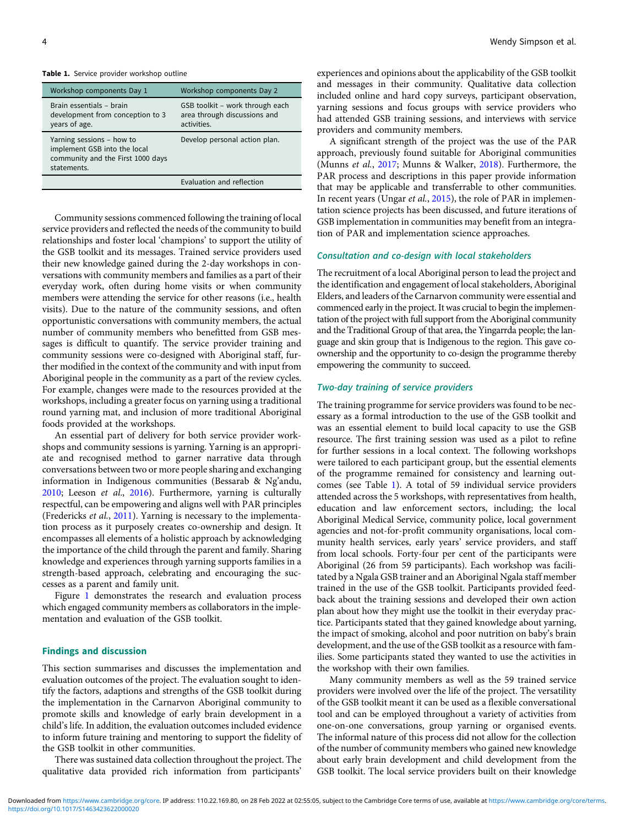#### <span id="page-3-0"></span>Table 1. Service provider workshop outline

| Workshop components Day 1                                                                                     | Workshop components Day 2                                                      |
|---------------------------------------------------------------------------------------------------------------|--------------------------------------------------------------------------------|
| Brain essentials - brain<br>development from conception to 3<br>years of age.                                 | GSB toolkit - work through each<br>area through discussions and<br>activities. |
| Yarning sessions - how to<br>implement GSB into the local<br>community and the First 1000 days<br>statements. | Develop personal action plan.                                                  |
|                                                                                                               | Evaluation and reflection                                                      |

Community sessions commenced following the training of local service providers and reflected the needs of the community to build relationships and foster local 'champions' to support the utility of the GSB toolkit and its messages. Trained service providers used their new knowledge gained during the 2-day workshops in conversations with community members and families as a part of their everyday work, often during home visits or when community members were attending the service for other reasons (i.e., health visits). Due to the nature of the community sessions, and often opportunistic conversations with community members, the actual number of community members who benefitted from GSB messages is difficult to quantify. The service provider training and community sessions were co-designed with Aboriginal staff, further modified in the context of the community and with input from Aboriginal people in the community as a part of the review cycles. For example, changes were made to the resources provided at the workshops, including a greater focus on yarning using a traditional round yarning mat, and inclusion of more traditional Aboriginal foods provided at the workshops.

An essential part of delivery for both service provider workshops and community sessions is yarning. Yarning is an appropriate and recognised method to garner narrative data through conversations between two or more people sharing and exchanging information in Indigenous communities (Bessarab & Ng'andu, [2010;](#page-7-0) Leeson et al., [2016\)](#page-7-0). Furthermore, yarning is culturally respectful, can be empowering and aligns well with PAR principles (Fredericks et al., [2011](#page-7-0)). Yarning is necessary to the implementation process as it purposely creates co-ownership and design. It encompasses all elements of a holistic approach by acknowledging the importance of the child through the parent and family. Sharing knowledge and experiences through yarning supports families in a strength-based approach, celebrating and encouraging the successes as a parent and family unit.

Figure [1](#page-4-0) demonstrates the research and evaluation process which engaged community members as collaborators in the implementation and evaluation of the GSB toolkit.

#### Findings and discussion

This section summarises and discusses the implementation and evaluation outcomes of the project. The evaluation sought to identify the factors, adaptions and strengths of the GSB toolkit during the implementation in the Carnarvon Aboriginal community to promote skills and knowledge of early brain development in a child's life. In addition, the evaluation outcomes included evidence to inform future training and mentoring to support the fidelity of the GSB toolkit in other communities.

There was sustained data collection throughout the project. The qualitative data provided rich information from participants' experiences and opinions about the applicability of the GSB toolkit and messages in their community. Qualitative data collection included online and hard copy surveys, participant observation, yarning sessions and focus groups with service providers who had attended GSB training sessions, and interviews with service providers and community members.

A significant strength of the project was the use of the PAR approach, previously found suitable for Aboriginal communities (Munns et al., [2017](#page-7-0); Munns & Walker, [2018\)](#page-7-0). Furthermore, the PAR process and descriptions in this paper provide information that may be applicable and transferrable to other communities. In recent years (Ungar et al., [2015](#page-7-0)), the role of PAR in implementation science projects has been discussed, and future iterations of GSB implementation in communities may benefit from an integration of PAR and implementation science approaches.

#### Consultation and co-design with local stakeholders

The recruitment of a local Aboriginal person to lead the project and the identification and engagement of local stakeholders, Aboriginal Elders, and leaders of the Carnarvon community were essential and commenced early in the project. It was crucial to begin the implementation of the project with full support from the Aboriginal community and the Traditional Group of that area, the Yingarrda people; the language and skin group that is Indigenous to the region. This gave coownership and the opportunity to co-design the programme thereby empowering the community to succeed.

# Two-day training of service providers

The training programme for service providers was found to be necessary as a formal introduction to the use of the GSB toolkit and was an essential element to build local capacity to use the GSB resource. The first training session was used as a pilot to refine for further sessions in a local context. The following workshops were tailored to each participant group, but the essential elements of the programme remained for consistency and learning outcomes (see Table 1). A total of 59 individual service providers attended across the 5 workshops, with representatives from health, education and law enforcement sectors, including; the local Aboriginal Medical Service, community police, local government agencies and not-for-profit community organisations, local community health services, early years' service providers, and staff from local schools. Forty-four per cent of the participants were Aboriginal (26 from 59 participants). Each workshop was facilitated by a Ngala GSB trainer and an Aboriginal Ngala staff member trained in the use of the GSB toolkit. Participants provided feedback about the training sessions and developed their own action plan about how they might use the toolkit in their everyday practice. Participants stated that they gained knowledge about yarning, the impact of smoking, alcohol and poor nutrition on baby's brain development, and the use of the GSB toolkit as a resource with families. Some participants stated they wanted to use the activities in the workshop with their own families.

Many community members as well as the 59 trained service providers were involved over the life of the project. The versatility of the GSB toolkit meant it can be used as a flexible conversational tool and can be employed throughout a variety of activities from one-on-one conversations, group yarning or organised events. The informal nature of this process did not allow for the collection of the number of community members who gained new knowledge about early brain development and child development from the GSB toolkit. The local service providers built on their knowledge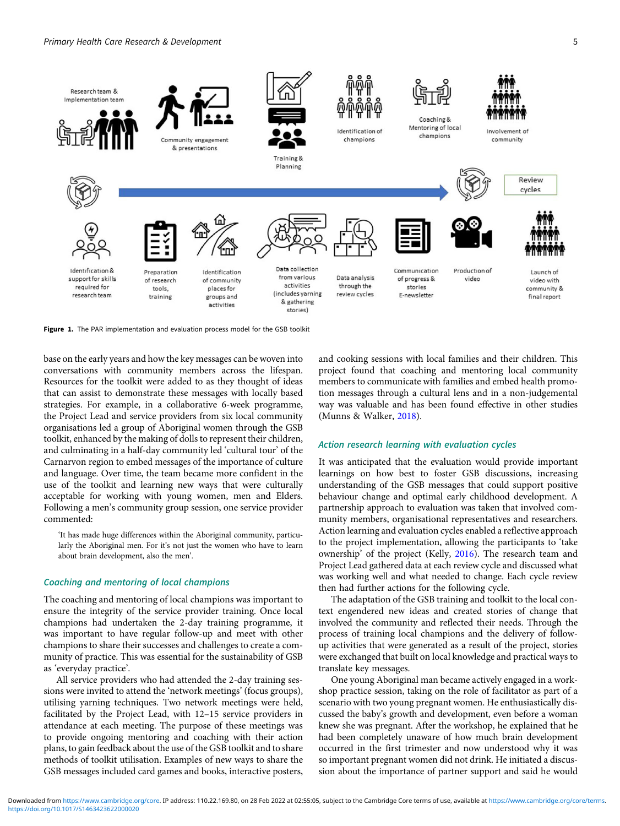<span id="page-4-0"></span>

Figure 1. The PAR implementation and evaluation process model for the GSB toolkit

base on the early years and how the key messages can be woven into conversations with community members across the lifespan. Resources for the toolkit were added to as they thought of ideas that can assist to demonstrate these messages with locally based strategies. For example, in a collaborative 6-week programme, the Project Lead and service providers from six local community organisations led a group of Aboriginal women through the GSB toolkit, enhanced by the making of dolls to represent their children, and culminating in a half-day community led 'cultural tour' of the Carnarvon region to embed messages of the importance of culture and language. Over time, the team became more confident in the use of the toolkit and learning new ways that were culturally acceptable for working with young women, men and Elders. Following a men's community group session, one service provider commented:

'It has made huge differences within the Aboriginal community, particularly the Aboriginal men. For it's not just the women who have to learn about brain development, also the men'.

## Coaching and mentoring of local champions

The coaching and mentoring of local champions was important to ensure the integrity of the service provider training. Once local champions had undertaken the 2-day training programme, it was important to have regular follow-up and meet with other champions to share their successes and challenges to create a community of practice. This was essential for the sustainability of GSB as 'everyday practice'.

All service providers who had attended the 2-day training sessions were invited to attend the 'network meetings' (focus groups), utilising yarning techniques. Two network meetings were held, facilitated by the Project Lead, with 12–15 service providers in attendance at each meeting. The purpose of these meetings was to provide ongoing mentoring and coaching with their action plans, to gain feedback about the use of the GSB toolkit and to share methods of toolkit utilisation. Examples of new ways to share the GSB messages included card games and books, interactive posters, and cooking sessions with local families and their children. This project found that coaching and mentoring local community members to communicate with families and embed health promotion messages through a cultural lens and in a non-judgemental way was valuable and has been found effective in other studies (Munns & Walker, [2018\)](#page-7-0).

#### Action research learning with evaluation cycles

It was anticipated that the evaluation would provide important learnings on how best to foster GSB discussions, increasing understanding of the GSB messages that could support positive behaviour change and optimal early childhood development. A partnership approach to evaluation was taken that involved community members, organisational representatives and researchers. Action learning and evaluation cycles enabled a reflective approach to the project implementation, allowing the participants to 'take ownership' of the project (Kelly, [2016](#page-7-0)). The research team and Project Lead gathered data at each review cycle and discussed what was working well and what needed to change. Each cycle review then had further actions for the following cycle.

The adaptation of the GSB training and toolkit to the local context engendered new ideas and created stories of change that involved the community and reflected their needs. Through the process of training local champions and the delivery of followup activities that were generated as a result of the project, stories were exchanged that built on local knowledge and practical ways to translate key messages.

One young Aboriginal man became actively engaged in a workshop practice session, taking on the role of facilitator as part of a scenario with two young pregnant women. He enthusiastically discussed the baby's growth and development, even before a woman knew she was pregnant. After the workshop, he explained that he had been completely unaware of how much brain development occurred in the first trimester and now understood why it was so important pregnant women did not drink. He initiated a discussion about the importance of partner support and said he would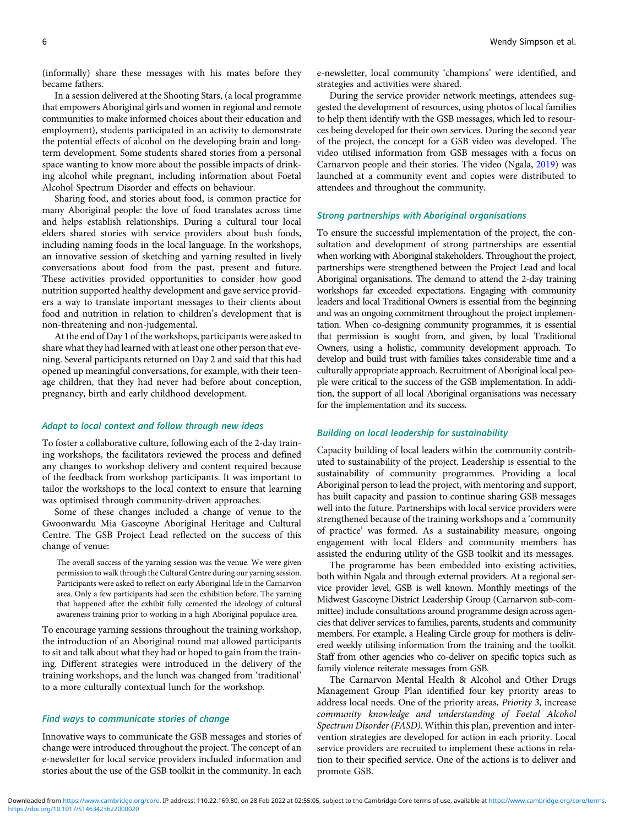(informally) share these messages with his mates before they became fathers.

In a session delivered at the Shooting Stars, (a local programme that empowers Aboriginal girls and women in regional and remote communities to make informed choices about their education and employment), students participated in an activity to demonstrate the potential effects of alcohol on the developing brain and longterm development. Some students shared stories from a personal space wanting to know more about the possible impacts of drinking alcohol while pregnant, including information about Foetal Alcohol Spectrum Disorder and effects on behaviour.

Sharing food, and stories about food, is common practice for many Aboriginal people: the love of food translates across time and helps establish relationships. During a cultural tour local elders shared stories with service providers about bush foods, including naming foods in the local language. In the workshops, an innovative session of sketching and yarning resulted in lively conversations about food from the past, present and future. These activities provided opportunities to consider how good nutrition supported healthy development and gave service providers a way to translate important messages to their clients about food and nutrition in relation to children's development that is non-threatening and non-judgemental.

At the end of Day 1 of the workshops, participants were asked to share what they had learned with at least one other person that evening. Several participants returned on Day 2 and said that this had opened up meaningful conversations, for example, with their teenage children, that they had never had before about conception, pregnancy, birth and early childhood development.

#### Adapt to local context and follow through new ideas

To foster a collaborative culture, following each of the 2-day training workshops, the facilitators reviewed the process and defined any changes to workshop delivery and content required because of the feedback from workshop participants. It was important to tailor the workshops to the local context to ensure that learning was optimised through community-driven approaches.

Some of these changes included a change of venue to the Gwoonwardu Mia Gascoyne Aboriginal Heritage and Cultural Centre. The GSB Project Lead reflected on the success of this change of venue:

The overall success of the yarning session was the venue. We were given permission to walk through the Cultural Centre during our yarning session. Participants were asked to reflect on early Aboriginal life in the Carnarvon area. Only a few participants had seen the exhibition before. The yarning that happened after the exhibit fully cemented the ideology of cultural awareness training prior to working in a high Aboriginal populace area.

To encourage yarning sessions throughout the training workshop, the introduction of an Aboriginal round mat allowed participants to sit and talk about what they had or hoped to gain from the training. Different strategies were introduced in the delivery of the training workshops, and the lunch was changed from 'traditional' to a more culturally contextual lunch for the workshop.

#### Find ways to communicate stories of change

Innovative ways to communicate the GSB messages and stories of change were introduced throughout the project. The concept of an e-newsletter for local service providers included information and stories about the use of the GSB toolkit in the community. In each

e-newsletter, local community 'champions' were identified, and strategies and activities were shared.

During the service provider network meetings, attendees suggested the development of resources, using photos of local families to help them identify with the GSB messages, which led to resources being developed for their own services. During the second year of the project, the concept for a GSB video was developed. The video utilised information from GSB messages with a focus on Carnarvon people and their stories. The video (Ngala, [2019](#page-7-0)) was launched at a community event and copies were distributed to attendees and throughout the community.

## Strong partnerships with Aboriginal organisations

To ensure the successful implementation of the project, the consultation and development of strong partnerships are essential when working with Aboriginal stakeholders. Throughout the project, partnerships were strengthened between the Project Lead and local Aboriginal organisations. The demand to attend the 2-day training workshops far exceeded expectations. Engaging with community leaders and local Traditional Owners is essential from the beginning and was an ongoing commitment throughout the project implementation. When co-designing community programmes, it is essential that permission is sought from, and given, by local Traditional Owners, using a holistic, community development approach. To develop and build trust with families takes considerable time and a culturally appropriate approach. Recruitment of Aboriginal local people were critical to the success of the GSB implementation. In addition, the support of all local Aboriginal organisations was necessary for the implementation and its success.

#### Building on local leadership for sustainability

Capacity building of local leaders within the community contributed to sustainability of the project. Leadership is essential to the sustainability of community programmes. Providing a local Aboriginal person to lead the project, with mentoring and support, has built capacity and passion to continue sharing GSB messages well into the future. Partnerships with local service providers were strengthened because of the training workshops and a 'community of practice' was formed. As a sustainability measure, ongoing engagement with local Elders and community members has assisted the enduring utility of the GSB toolkit and its messages.

The programme has been embedded into existing activities, both within Ngala and through external providers. At a regional service provider level, GSB is well known. Monthly meetings of the Midwest Gascoyne District Leadership Group (Carnarvon sub-committee) include consultations around programme design across agencies that deliver services to families, parents, students and community members. For example, a Healing Circle group for mothers is delivered weekly utilising information from the training and the toolkit. Staff from other agencies who co-deliver on specific topics such as family violence reiterate messages from GSB.

The Carnarvon Mental Health & Alcohol and Other Drugs Management Group Plan identified four key priority areas to address local needs. One of the priority areas, Priority 3, increase community knowledge and understanding of Foetal Alcohol Spectrum Disorder (FASD). Within this plan, prevention and intervention strategies are developed for action in each priority. Local service providers are recruited to implement these actions in relation to their specified service. One of the actions is to deliver and promote GSB.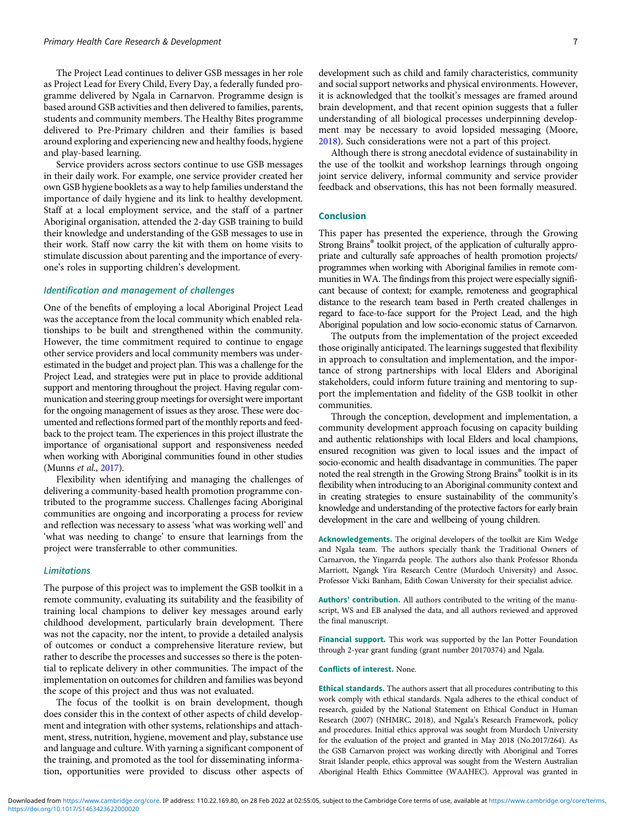The Project Lead continues to deliver GSB messages in her role as Project Lead for Every Child, Every Day, a federally funded programme delivered by Ngala in Carnarvon. Programme design is based around GSB activities and then delivered to families, parents, students and community members. The Healthy Bites programme delivered to Pre-Primary children and their families is based around exploring and experiencing new and healthy foods, hygiene and play-based learning.

Service providers across sectors continue to use GSB messages in their daily work. For example, one service provider created her own GSB hygiene booklets as a way to help families understand the importance of daily hygiene and its link to healthy development. Staff at a local employment service, and the staff of a partner Aboriginal organisation, attended the 2-day GSB training to build their knowledge and understanding of the GSB messages to use in their work. Staff now carry the kit with them on home visits to stimulate discussion about parenting and the importance of everyone's roles in supporting children's development.

# Identification and management of challenges

One of the benefits of employing a local Aboriginal Project Lead was the acceptance from the local community which enabled relationships to be built and strengthened within the community. However, the time commitment required to continue to engage other service providers and local community members was underestimated in the budget and project plan. This was a challenge for the Project Lead, and strategies were put in place to provide additional support and mentoring throughout the project. Having regular communication and steering group meetings for oversight were important for the ongoing management of issues as they arose. These were documented and reflections formed part of the monthly reports and feedback to the project team. The experiences in this project illustrate the importance of organisational support and responsiveness needed when working with Aboriginal communities found in other studies (Munns et al., [2017](#page-7-0)).

Flexibility when identifying and managing the challenges of delivering a community-based health promotion programme contributed to the programme success. Challenges facing Aboriginal communities are ongoing and incorporating a process for review and reflection was necessary to assess 'what was working well' and 'what was needing to change' to ensure that learnings from the project were transferrable to other communities.

#### Limitations

The purpose of this project was to implement the GSB toolkit in a remote community, evaluating its suitability and the feasibility of training local champions to deliver key messages around early childhood development, particularly brain development. There was not the capacity, nor the intent, to provide a detailed analysis of outcomes or conduct a comprehensive literature review, but rather to describe the processes and successes so there is the potential to replicate delivery in other communities. The impact of the implementation on outcomes for children and families was beyond the scope of this project and thus was not evaluated.

The focus of the toolkit is on brain development, though does consider this in the context of other aspects of child development and integration with other systems, relationships and attachment, stress, nutrition, hygiene, movement and play, substance use and language and culture. With yarning a significant component of the training, and promoted as the tool for disseminating information, opportunities were provided to discuss other aspects of development such as child and family characteristics, community and social support networks and physical environments. However, it is acknowledged that the toolkit's messages are framed around brain development, and that recent opinion suggests that a fuller understanding of all biological processes underpinning development may be necessary to avoid lopsided messaging (Moore, [2018](#page-7-0)). Such considerations were not a part of this project.

Although there is strong anecdotal evidence of sustainability in the use of the toolkit and workshop learnings through ongoing joint service delivery, informal community and service provider feedback and observations, this has not been formally measured.

# Conclusion

This paper has presented the experience, through the Growing Strong Brains® toolkit project, of the application of culturally appropriate and culturally safe approaches of health promotion projects/ programmes when working with Aboriginal families in remote communities in WA. The findings from this project were especially significant because of context; for example, remoteness and geographical distance to the research team based in Perth created challenges in regard to face-to-face support for the Project Lead, and the high Aboriginal population and low socio-economic status of Carnarvon.

The outputs from the implementation of the project exceeded those originally anticipated. The learnings suggested that flexibility in approach to consultation and implementation, and the importance of strong partnerships with local Elders and Aboriginal stakeholders, could inform future training and mentoring to support the implementation and fidelity of the GSB toolkit in other communities.

Through the conception, development and implementation, a community development approach focusing on capacity building and authentic relationships with local Elders and local champions, ensured recognition was given to local issues and the impact of socio-economic and health disadvantage in communities. The paper noted the real strength in the Growing Strong Brains® toolkit is in its flexibility when introducing to an Aboriginal community context and in creating strategies to ensure sustainability of the community's knowledge and understanding of the protective factors for early brain development in the care and wellbeing of young children.

Acknowledgements. The original developers of the toolkit are Kim Wedge and Ngala team. The authors specially thank the Traditional Owners of Carnarvon, the Yingarrda people. The authors also thank Professor Rhonda Marriott, Ngangk Yira Research Centre (Murdoch University) and Assoc. Professor Vicki Banham, Edith Cowan University for their specialist advice.

Authors' contribution. All authors contributed to the writing of the manuscript, WS and EB analysed the data, and all authors reviewed and approved the final manuscript.

Financial support. This work was supported by the Ian Potter Foundation through 2-year grant funding (grant number 20170374) and Ngala.

#### Conflicts of interest. None.

Ethical standards. The authors assert that all procedures contributing to this work comply with ethical standards. Ngala adheres to the ethical conduct of research, guided by the National Statement on Ethical Conduct in Human Research (2007) (NHMRC, 2018), and Ngala's Research Framework, policy and procedures. Initial ethics approval was sought from Murdoch University for the evaluation of the project and granted in May 2018 (No.2017/264). As the GSB Carnarvon project was working directly with Aboriginal and Torres Strait Islander people, ethics approval was sought from the Western Australian Aboriginal Health Ethics Committee (WAAHEC). Approval was granted in